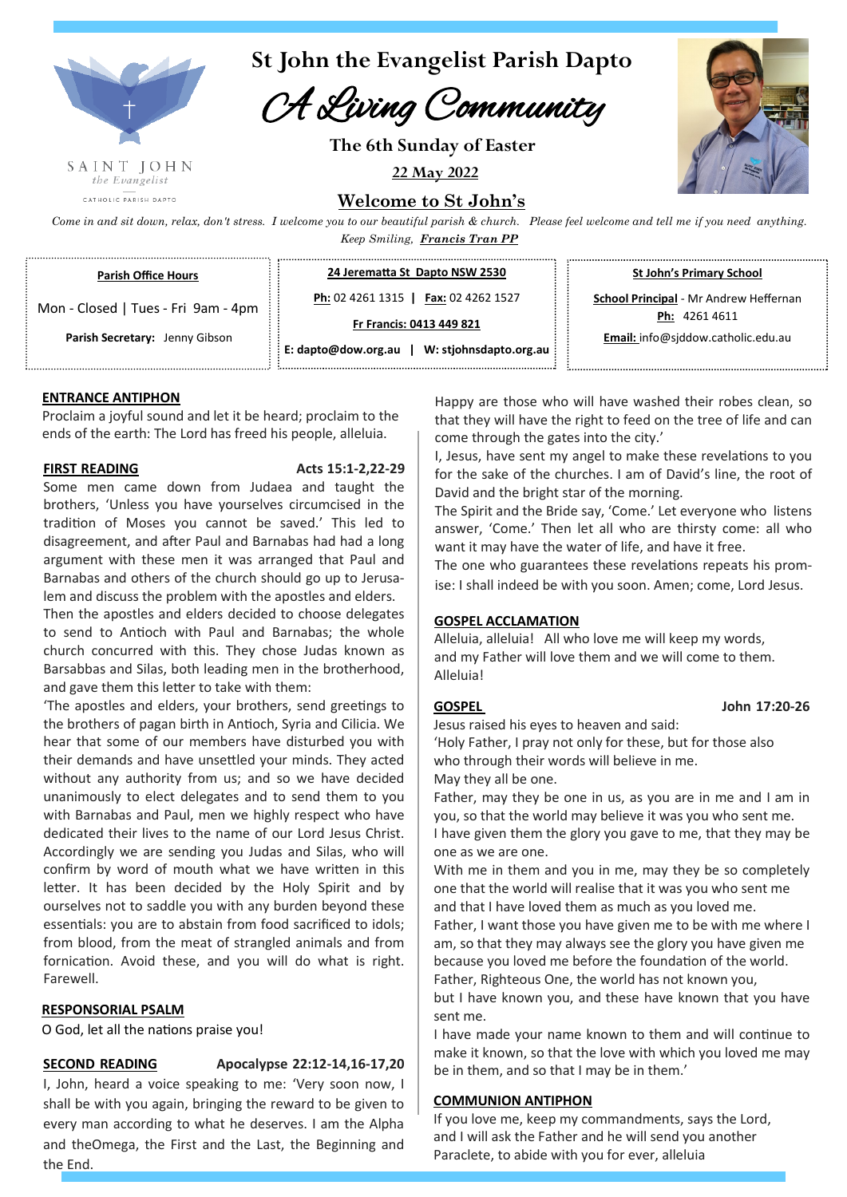

CATHOLIC PARISH DAPTO

**St John the Evangelist Parish Dapto**

## A Living Community

**The 6th Sunday of Easter**

**22 May 2022**



**Welcome to St John's**

*Come in and sit down, relax, don't stress. I welcome you to our beautiful parish & church. Please feel welcome and tell me if you need anything. Keep Smiling, Francis Tran PP*

**Parish Office Hours** 

**Parish Secretary:** Jenny Gibson

**24 Jerematta St Dapto NSW 2530**

Mon - Closed | Tues - Fri 9am - 4pm **Ph:** 02 4261 1315 **| Fax:** 02 4262 1527

**Fr Francis: 0413 449 821**

**E: dapto@dow.org.au | W: stjohnsdapto.org.au**  **St John's Primary School**

**School Principal** - Mr Andrew Heffernan **Ph:** 4261 4611

**Email:** info@sjddow.catholic.edu.au

**ENTRANCE ANTIPHON** 

Proclaim a joyful sound and let it be heard; proclaim to the ends of the earth: The Lord has freed his people, alleluia.

#### **FIRST READING Acts 15:1-2,22-29**

Some men came down from Judaea and taught the brothers, 'Unless you have yourselves circumcised in the tradition of Moses you cannot be saved.' This led to disagreement, and after Paul and Barnabas had had a long argument with these men it was arranged that Paul and Barnabas and others of the church should go up to Jerusalem and discuss the problem with the apostles and elders.

Then the apostles and elders decided to choose delegates to send to Antioch with Paul and Barnabas; the whole church concurred with this. They chose Judas known as Barsabbas and Silas, both leading men in the brotherhood, and gave them this letter to take with them:

'The apostles and elders, your brothers, send greetings to the brothers of pagan birth in Antioch, Syria and Cilicia. We hear that some of our members have disturbed you with their demands and have unsettled your minds. They acted without any authority from us; and so we have decided unanimously to elect delegates and to send them to you with Barnabas and Paul, men we highly respect who have dedicated their lives to the name of our Lord Jesus Christ. Accordingly we are sending you Judas and Silas, who will confirm by word of mouth what we have written in this letter. It has been decided by the Holy Spirit and by ourselves not to saddle you with any burden beyond these essentials: you are to abstain from food sacrificed to idols; from blood, from the meat of strangled animals and from fornication. Avoid these, and you will do what is right. Farewell.

#### **RESPONSORIAL PSALM**

O God, let all the nations praise you!

**SECOND READING Apocalypse 22:12-14,16-17,20** 

I, John, heard a voice speaking to me: 'Very soon now, I shall be with you again, bringing the reward to be given to every man according to what he deserves. I am the Alpha and theOmega, the First and the Last, the Beginning and the End.

Happy are those who will have washed their robes clean, so that they will have the right to feed on the tree of life and can come through the gates into the city.'

I, Jesus, have sent my angel to make these revelations to you for the sake of the churches. I am of David's line, the root of David and the bright star of the morning.

The Spirit and the Bride say, 'Come.' Let everyone who listens answer, 'Come.' Then let all who are thirsty come: all who want it may have the water of life, and have it free.

The one who guarantees these revelations repeats his promise: I shall indeed be with you soon. Amen; come, Lord Jesus.

#### **GOSPEL ACCLAMATION**

Alleluia, alleluia! All who love me will keep my words, and my Father will love them and we will come to them. Alleluia!

Jesus raised his eyes to heaven and said:

'Holy Father, I pray not only for these, but for those also who through their words will believe in me.

May they all be one.

Father, may they be one in us, as you are in me and I am in you, so that the world may believe it was you who sent me. I have given them the glory you gave to me, that they may be one as we are one.

With me in them and you in me, may they be so completely one that the world will realise that it was you who sent me and that I have loved them as much as you loved me.

Father, I want those you have given me to be with me where I am, so that they may always see the glory you have given me because you loved me before the foundation of the world.

Father, Righteous One, the world has not known you, but I have known you, and these have known that you have sent me.

I have made your name known to them and will continue to make it known, so that the love with which you loved me may be in them, and so that I may be in them.'

#### **COMMUNION ANTIPHON**

If you love me, keep my commandments, says the Lord, and I will ask the Father and he will send you another Paraclete, to abide with you for ever, alleluia

**GOSPEL John 17:20-26**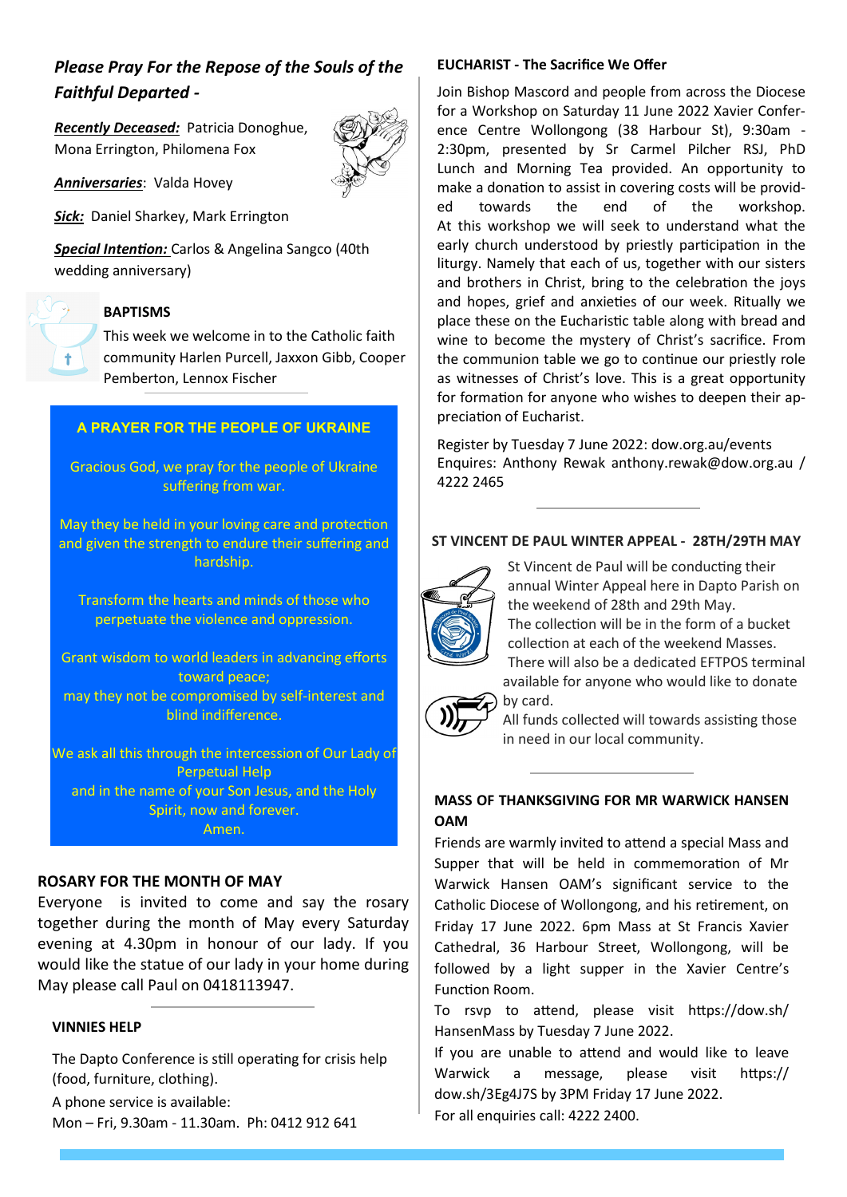## *Please Pray For the Repose of the Souls of the Faithful Departed -*

*Recently Deceased:*Patricia Donoghue, Mona Errington, Philomena Fox

*Anniversaries*: Valda Hovey

*Sick:*Daniel Sharkey, Mark Errington

*Special Intention:* Carlos & Angelina Sangco (40th wedding anniversary)

# Ť.

### **BAPTISMS**

This week we welcome in to the Catholic faith community Harlen Purcell, Jaxxon Gibb, Cooper Pemberton, Lennox Fischer

#### **A PRAYER FOR THE PEOPLE OF UKRAINE**

Gracious God, we pray for the people of Ukraine suffering from war.

May they be held in your loving care and protection and given the strength to endure their suffering and hardship.

Transform the hearts and minds of those who perpetuate the violence and oppression.

Grant wisdom to world leaders in advancing efforts toward peace; may they not be compromised by self-interest and blind indifference.

We ask all this through the intercession of Our Lady of Perpetual Help and in the name of your Son Jesus, and the Holy Spirit, now and forever. Amen.

#### **ROSARY FOR THE MONTH OF MAY**

Everyone is invited to come and say the rosary together during the month of May every Saturday evening at 4.30pm in honour of our lady. If you would like the statue of our lady in your home during May please call Paul on 0418113947.

#### **VINNIES HELP**

The Dapto Conference is still operating for crisis help (food, furniture, clothing).

A phone service is available: Mon – Fri, 9.30am - 11.30am. Ph: 0412 912 641

#### **EUCHARIST - The Sacrifice We Offer**

Join Bishop Mascord and people from across the Diocese for a Workshop on Saturday 11 June 2022 Xavier Conference Centre Wollongong (38 Harbour St), 9:30am - 2:30pm, presented by Sr Carmel Pilcher RSJ, PhD Lunch and Morning Tea provided. An opportunity to make a donation to assist in covering costs will be provided towards the end of the workshop. At this workshop we will seek to understand what the early church understood by priestly participation in the liturgy. Namely that each of us, together with our sisters and brothers in Christ, bring to the celebration the joys and hopes, grief and anxieties of our week. Ritually we place these on the Eucharistic table along with bread and wine to become the mystery of Christ's sacrifice. From the communion table we go to continue our priestly role as witnesses of Christ's love. This is a great opportunity for formation for anyone who wishes to deepen their appreciation of Eucharist.

Register by Tuesday 7 June 2022: dow.org.au/events Enquires: Anthony Rewak anthony.rewak@dow.org.au / 4222 2465

#### **ST VINCENT DE PAUL WINTER APPEAL - 28TH/29TH MAY**



 St Vincent de Paul will be conducting their annual Winter Appeal here in Dapto Parish on the weekend of 28th and 29th May. The collection will be in the form of a bucket collection at each of the weekend Masses. There will also be a dedicated EFTPOS terminal available for anyone who would like to donate by card.



All funds collected will towards assisting those in need in our local community.

#### **MASS OF THANKSGIVING FOR MR WARWICK HANSEN OAM**

Friends are warmly invited to attend a special Mass and Supper that will be held in commemoration of Mr Warwick Hansen OAM's significant service to the Catholic Diocese of Wollongong, and his retirement, on Friday 17 June 2022. 6pm Mass at St Francis Xavier Cathedral, 36 Harbour Street, Wollongong, will be followed by a light supper in the Xavier Centre's Function Room.

To rsvp to attend, please visit https://dow.sh/ HansenMass by Tuesday 7 June 2022.

If you are unable to attend and would like to leave Warwick a message, please visit https:// dow.sh/3Eg4J7S by 3PM Friday 17 June 2022. For all enquiries call: 4222 2400.

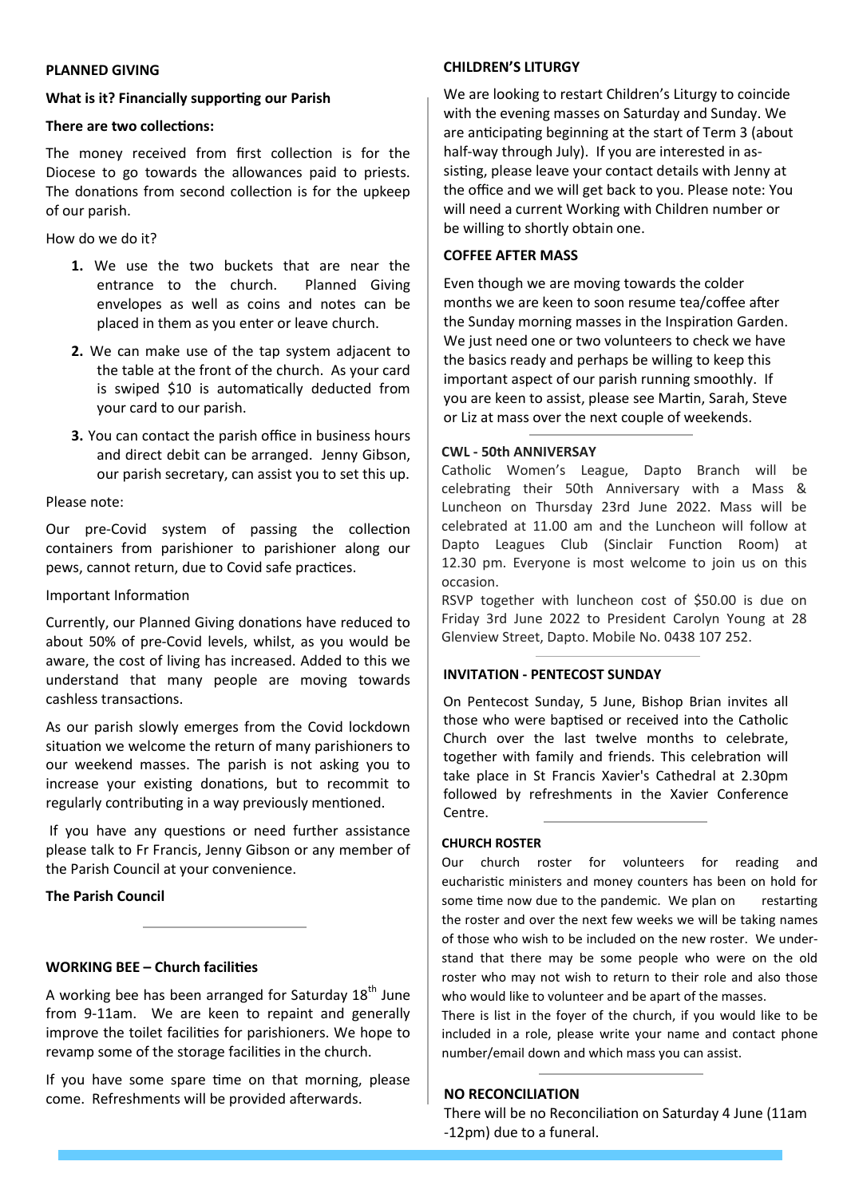#### **PLANNED GIVING**

#### **What is it? Financially supporting our Parish**

#### **There are two collections:**

The money received from first collection is for the Diocese to go towards the allowances paid to priests. The donations from second collection is for the upkeep of our parish.

#### How do we do it?

- **1.** We use the two buckets that are near the entrance to the church. Planned Giving envelopes as well as coins and notes can be placed in them as you enter or leave church.
- **2.** We can make use of the tap system adjacent to the table at the front of the church. As your card is swiped \$10 is automatically deducted from your card to our parish.
- **3.** You can contact the parish office in business hours and direct debit can be arranged. Jenny Gibson, our parish secretary, can assist you to set this up.

#### Please note:

Our pre-Covid system of passing the collection containers from parishioner to parishioner along our pews, cannot return, due to Covid safe practices.

#### Important Information

Currently, our Planned Giving donations have reduced to about 50% of pre-Covid levels, whilst, as you would be aware, the cost of living has increased. Added to this we understand that many people are moving towards cashless transactions.

As our parish slowly emerges from the Covid lockdown situation we welcome the return of many parishioners to our weekend masses. The parish is not asking you to increase your existing donations, but to recommit to regularly contributing in a way previously mentioned.

If you have any questions or need further assistance please talk to Fr Francis, Jenny Gibson or any member of the Parish Council at your convenience.

#### **The Parish Council**

#### **WORKING BEE – Church facilities**

A working bee has been arranged for Saturday  $18<sup>th</sup>$  June from 9-11am. We are keen to repaint and generally improve the toilet facilities for parishioners. We hope to revamp some of the storage facilities in the church.

If you have some spare time on that morning, please come. Refreshments will be provided afterwards.

#### **CHILDREN'S LITURGY**

We are looking to restart Children's Liturgy to coincide with the evening masses on Saturday and Sunday. We are anticipating beginning at the start of Term 3 (about half-way through July). If you are interested in assisting, please leave your contact details with Jenny at the office and we will get back to you. Please note: You will need a current Working with Children number or be willing to shortly obtain one.

#### **COFFEE AFTER MASS**

Even though we are moving towards the colder months we are keen to soon resume tea/coffee after the Sunday morning masses in the Inspiration Garden. We just need one or two volunteers to check we have the basics ready and perhaps be willing to keep this important aspect of our parish running smoothly. If you are keen to assist, please see Martin, Sarah, Steve or Liz at mass over the next couple of weekends.

#### **CWL - 50th ANNIVERSAY**

Catholic Women's League, Dapto Branch will be celebrating their 50th Anniversary with a Mass & Luncheon on Thursday 23rd June 2022. Mass will be celebrated at 11.00 am and the Luncheon will follow at Dapto Leagues Club (Sinclair Function Room) at 12.30 pm. Everyone is most welcome to join us on this occasion.

RSVP together with luncheon cost of \$50.00 is due on Friday 3rd June 2022 to President Carolyn Young at 28 Glenview Street, Dapto. Mobile No. 0438 107 252.

#### **INVITATION - PENTECOST SUNDAY**

On Pentecost Sunday, 5 June, Bishop Brian invites all those who were baptised or received into the Catholic Church over the last twelve months to celebrate, together with family and friends. This celebration will take place in St Francis Xavier's Cathedral at 2.30pm followed by refreshments in the Xavier Conference Centre.

#### **CHURCH ROSTER**

Our church roster for volunteers for reading and eucharistic ministers and money counters has been on hold for some time now due to the pandemic. We plan on restarting the roster and over the next few weeks we will be taking names of those who wish to be included on the new roster. We understand that there may be some people who were on the old roster who may not wish to return to their role and also those who would like to volunteer and be apart of the masses.

There is list in the foyer of the church, if you would like to be included in a role, please write your name and contact phone number/email down and which mass you can assist.

#### **NO RECONCILIATION**

There will be no Reconciliation on Saturday 4 June (11am -12pm) due to a funeral.